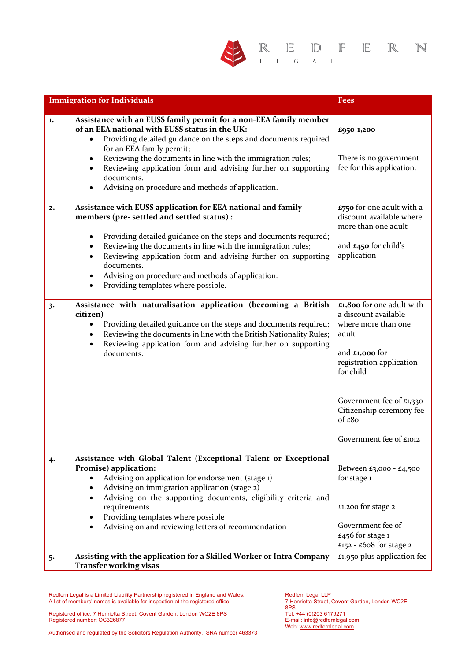

|    | <b>Immigration for Individuals</b>                                                                                                                                                                                                                                                                                                                                                                                                                    | <b>Fees</b>                                                                                                                                                                                                                               |
|----|-------------------------------------------------------------------------------------------------------------------------------------------------------------------------------------------------------------------------------------------------------------------------------------------------------------------------------------------------------------------------------------------------------------------------------------------------------|-------------------------------------------------------------------------------------------------------------------------------------------------------------------------------------------------------------------------------------------|
| 1. | Assistance with an EUSS family permit for a non-EEA family member<br>of an EEA national with EUSS status in the UK:<br>Providing detailed guidance on the steps and documents required<br>$\bullet$<br>for an EEA family permit;<br>Reviewing the documents in line with the immigration rules;<br>٠<br>Reviewing application form and advising further on supporting<br>$\bullet$<br>documents.<br>Advising on procedure and methods of application. | £950-1,200<br>There is no government<br>fee for this application.                                                                                                                                                                         |
| 2. | Assistance with EUSS application for EEA national and family<br>members (pre- settled and settled status) :<br>Providing detailed guidance on the steps and documents required;<br>٠<br>Reviewing the documents in line with the immigration rules;<br>٠<br>Reviewing application form and advising further on supporting<br>$\bullet$<br>documents.<br>Advising on procedure and methods of application.<br>٠<br>Providing templates where possible. | £750 for one adult with a<br>discount available where<br>more than one adult<br>and £450 for child's<br>application                                                                                                                       |
| 3. | Assistance with naturalisation application (becoming a British<br>citizen)<br>Providing detailed guidance on the steps and documents required;<br>$\bullet$<br>Reviewing the documents in line with the British Nationality Rules;<br>٠<br>Reviewing application form and advising further on supporting<br>٠<br>documents.                                                                                                                           | £1,800 for one adult with<br>a discount available<br>where more than one<br>adult<br>and £1,000 for<br>registration application<br>for child<br>Government fee of £1,330<br>Citizenship ceremony fee<br>of £80<br>Government fee of £1012 |
| 4· | Assistance with Global Talent (Exceptional Talent or Exceptional<br>Promise) application:<br>Advising on application for endorsement (stage 1)<br>Advising on immigration application (stage 2)<br>٠<br>Advising on the supporting documents, eligibility criteria and<br>٠<br>requirements<br>Providing templates where possible<br>Advising on and reviewing letters of recommendation                                                              | Between £3,000 - £4,500<br>for stage 1<br>£1,200 for stage 2<br>Government fee of<br>£456 for stage 1<br>£152 - £608 for stage 2                                                                                                          |
| 5. | Assisting with the application for a Skilled Worker or Intra Company<br><b>Transfer working visas</b>                                                                                                                                                                                                                                                                                                                                                 | £1,950 plus application fee                                                                                                                                                                                                               |

Redfern Legal is a Limited Liability Partnership registered in England and Wales. A list of members' names is available for inspection at the registered office.

Registered office: 7 Henrietta Street, Covent Garden, London WC2E 8PS Registered number: OC326877

Redfern Legal LLP 7 Henrietta Street, Covent Garden, London WC2E 8PS Tel: +44 (0)203 6179271<br>E-mail: <u>info@redfernlegal.com</u> Web: www.redfernlegal.com

Authorised and regulated by the Solicitors Regulation Authority. SRA number 463373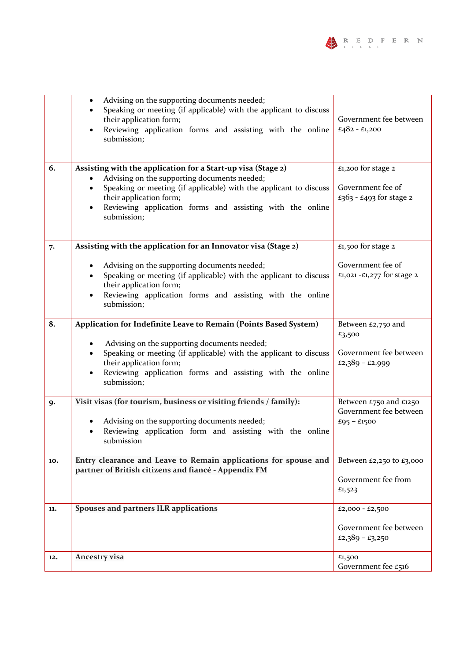

|     | Advising on the supporting documents needed;<br>$\bullet$<br>Speaking or meeting (if applicable) with the applicant to discuss<br>their application form;<br>Reviewing application forms and assisting with the online<br>$\bullet$<br>submission;                                                    | Government fee between<br>£482 - £1,200                            |
|-----|-------------------------------------------------------------------------------------------------------------------------------------------------------------------------------------------------------------------------------------------------------------------------------------------------------|--------------------------------------------------------------------|
| 6.  | Assisting with the application for a Start-up visa (Stage 2)<br>Advising on the supporting documents needed;<br>Speaking or meeting (if applicable) with the applicant to discuss<br>their application form;<br>Reviewing application forms and assisting with the online<br>$\bullet$<br>submission; | £1,200 for stage 2<br>Government fee of<br>£363 - £493 for stage 2 |
| 7.  | Assisting with the application for an Innovator visa (Stage 2)                                                                                                                                                                                                                                        | £1,500 for stage 2                                                 |
|     | Advising on the supporting documents needed;<br>Speaking or meeting (if applicable) with the applicant to discuss<br>their application form;<br>Reviewing application forms and assisting with the online<br>$\bullet$<br>submission;                                                                 | Government fee of<br>£1,021 -£1,277 for stage 2                    |
| 8.  | Application for Indefinite Leave to Remain (Points Based System)                                                                                                                                                                                                                                      | Between £2,750 and                                                 |
|     | Advising on the supporting documents needed;<br>٠<br>Speaking or meeting (if applicable) with the applicant to discuss<br>$\bullet$<br>their application form;<br>Reviewing application forms and assisting with the online<br>$\bullet$<br>submission;                                               | £3,500<br>Government fee between<br>£2,389 - £2,999                |
| 9.  | Visit visas (for tourism, business or visiting friends / family):                                                                                                                                                                                                                                     | Between £750 and £1250                                             |
|     | Advising on the supporting documents needed;<br>Reviewing application form and assisting with the online<br>submission                                                                                                                                                                                | Government fee between<br>$£95 - £1500$                            |
| 10. | Entry clearance and Leave to Remain applications for spouse and<br>partner of British citizens and fiancé - Appendix FM                                                                                                                                                                               | Between £2,250 to £3,000<br>Government fee from<br>£1,523          |
| 11. | Spouses and partners ILR applications                                                                                                                                                                                                                                                                 | £2,000 - £2,500                                                    |
|     |                                                                                                                                                                                                                                                                                                       | Government fee between<br>£2,389 - £3,250                          |
| 12. | <b>Ancestry visa</b>                                                                                                                                                                                                                                                                                  | £1,500<br>Government fee £516                                      |